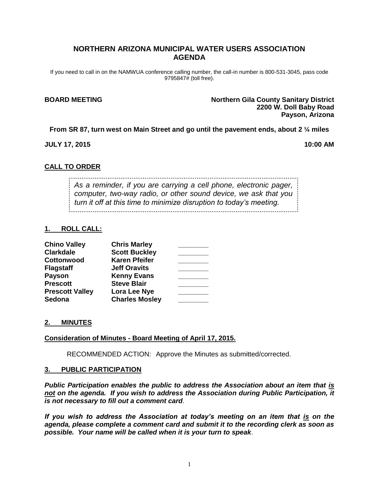# **NORTHERN ARIZONA MUNICIPAL WATER USERS ASSOCIATION AGENDA**

If you need to call in on the NAMWUA conference calling number, the call-in number is 800-531-3045, pass code 9795847# (toll free).

**BOARD MEETING Northern Gila County Sanitary District 2200 W. Doll Baby Road Payson, Arizona**

**From SR 87, turn west on Main Street and go until the pavement ends, about 2 ¼ miles**

**JULY 17, 2015 10:00 AM**

## **CALL TO ORDER**

*As a reminder, if you are carrying a cell phone, electronic pager, computer, two-way radio, or other sound device, we ask that you turn it off at this time to minimize disruption to today's meeting.*

### **1. ROLL CALL:**

| <b>Chino Valley</b>    | <b>Chris Marley</b>   |  |
|------------------------|-----------------------|--|
| <b>Clarkdale</b>       | <b>Scott Buckley</b>  |  |
| Cottonwood             | <b>Karen Pfeifer</b>  |  |
| <b>Flagstaff</b>       | <b>Jeff Oravits</b>   |  |
| <b>Payson</b>          | <b>Kenny Evans</b>    |  |
| <b>Prescott</b>        | <b>Steve Blair</b>    |  |
| <b>Prescott Valley</b> | Lora Lee Nye          |  |
| <b>Sedona</b>          | <b>Charles Mosley</b> |  |

#### **2. MINUTES**

#### **Consideration of Minutes - Board Meeting of April 17, 2015.**

RECOMMENDED ACTION: Approve the Minutes as submitted/corrected.

#### **3. PUBLIC PARTICIPATION**

*Public Participation enables the public to address the Association about an item that is not on the agenda. If you wish to address the Association during Public Participation, it is not necessary to fill out a comment card*.

*If you wish to address the Association at today's meeting on an item that is on the agenda, please complete a comment card and submit it to the recording clerk as soon as possible. Your name will be called when it is your turn to speak*.